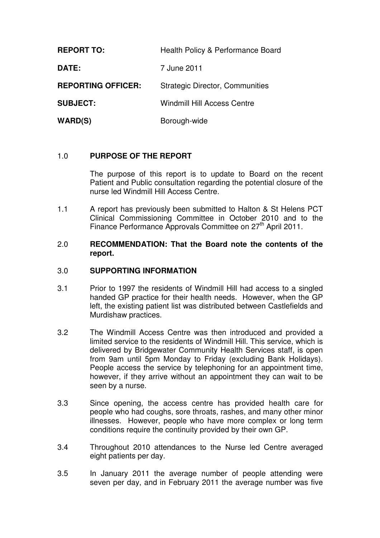| <b>REPORT TO:</b>         | Health Policy & Performance Board      |
|---------------------------|----------------------------------------|
| DATE:                     | 7 June 2011                            |
| <b>REPORTING OFFICER:</b> | <b>Strategic Director, Communities</b> |
| <b>SUBJECT:</b>           | <b>Windmill Hill Access Centre</b>     |
| WARD(S)                   | Borough-wide                           |

# 1.0 **PURPOSE OF THE REPORT**

The purpose of this report is to update to Board on the recent Patient and Public consultation regarding the potential closure of the nurse led Windmill Hill Access Centre.

1.1 A report has previously been submitted to Halton & St Helens PCT Clinical Commissioning Committee in October 2010 and to the Finance Performance Approvals Committee on 27<sup>th</sup> April 2011.

# 2.0 **RECOMMENDATION: That the Board note the contents of the report.**

# 3.0 **SUPPORTING INFORMATION**

- 3.1 Prior to 1997 the residents of Windmill Hill had access to a singled handed GP practice for their health needs. However, when the GP left, the existing patient list was distributed between Castlefields and Murdishaw practices.
- 3.2 The Windmill Access Centre was then introduced and provided a limited service to the residents of Windmill Hill. This service, which is delivered by Bridgewater Community Health Services staff, is open from 9am until 5pm Monday to Friday (excluding Bank Holidays). People access the service by telephoning for an appointment time, however, if they arrive without an appointment they can wait to be seen by a nurse.
- 3.3 Since opening, the access centre has provided health care for people who had coughs, sore throats, rashes, and many other minor illnesses. However, people who have more complex or long term conditions require the continuity provided by their own GP.
- 3.4 Throughout 2010 attendances to the Nurse led Centre averaged eight patients per day.
- 3.5 In January 2011 the average number of people attending were seven per day, and in February 2011 the average number was five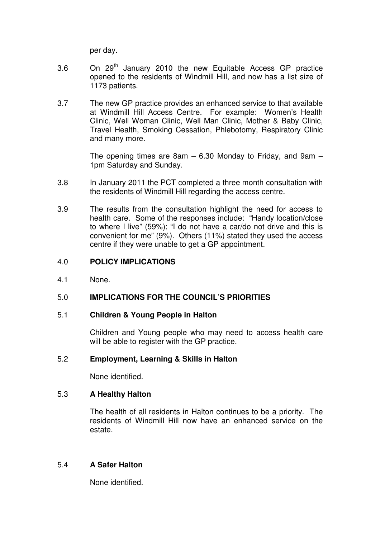per day.

- 3.6 On 29<sup>th</sup> January 2010 the new Equitable Access GP practice opened to the residents of Windmill Hill, and now has a list size of 1173 patients.
- 3.7 The new GP practice provides an enhanced service to that available at Windmill Hill Access Centre. For example: Women's Health Clinic, Well Woman Clinic, Well Man Clinic, Mother & Baby Clinic, Travel Health, Smoking Cessation, Phlebotomy, Respiratory Clinic and many more.

The opening times are  $8am - 6.30$  Monday to Friday, and  $9am -$ 1pm Saturday and Sunday.

- 3.8 In January 2011 the PCT completed a three month consultation with the residents of Windmill Hill regarding the access centre.
- 3.9 The results from the consultation highlight the need for access to health care. Some of the responses include: "Handy location/close to where I live" (59%); "I do not have a car/do not drive and this is convenient for me" (9%). Others (11%) stated they used the access centre if they were unable to get a GP appointment.

#### 4.0 **POLICY IMPLICATIONS**

4.1 None.

# 5.0 **IMPLICATIONS FOR THE COUNCIL'S PRIORITIES**

### 5.1 **Children & Young People in Halton**

Children and Young people who may need to access health care will be able to register with the GP practice.

### 5.2 **Employment, Learning & Skills in Halton**

None identified.

### 5.3 **A Healthy Halton**

The health of all residents in Halton continues to be a priority. The residents of Windmill Hill now have an enhanced service on the estate.

### 5.4 **A Safer Halton**

None identified.